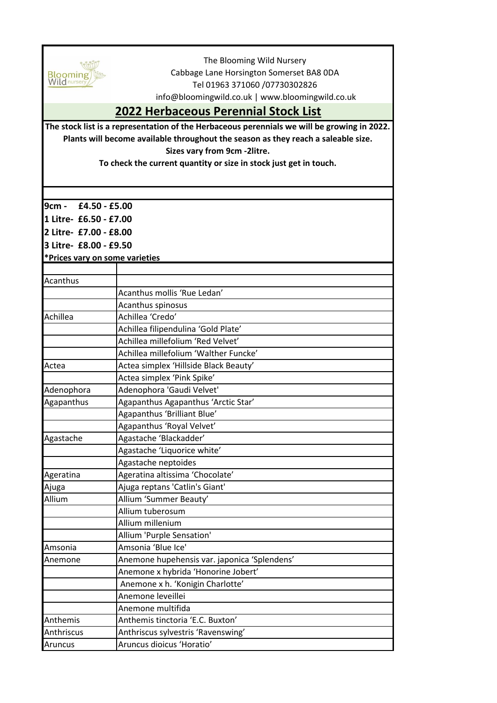

The Blooming Wild Nursery Cabbage Lane Horsington Somerset BA8 0DA Tel 01963 371060 /07730302826

info@bloomingwild.co.uk | www.bloomingwild.co.uk

## **2022 Herbaceous Perennial Stock List**

**The stock list is a representation of the Herbaceous perennials we will be growing in 2022. Plants will become available throughout the season as they reach a saleable size. Sizes vary from 9cm -2litre.** 

**To check the current quantity or size in stock just get in touch.**

| <b>9cm -</b>                                     | £4.50 - £5.00                                |  |
|--------------------------------------------------|----------------------------------------------|--|
| 1 Litre- £6.50 - £7.00<br>2 Litre- £7.00 - £8.00 |                                              |  |
|                                                  |                                              |  |
| *Prices vary on some varieties                   |                                              |  |
|                                                  |                                              |  |
| Acanthus                                         |                                              |  |
|                                                  | Acanthus mollis 'Rue Ledan'                  |  |
|                                                  | Acanthus spinosus                            |  |
| Achillea                                         | Achillea 'Credo'                             |  |
|                                                  | Achillea filipendulina 'Gold Plate'          |  |
|                                                  | Achillea millefolium 'Red Velvet'            |  |
|                                                  | Achillea millefolium 'Walther Funcke'        |  |
| Actea                                            | Actea simplex 'Hillside Black Beauty'        |  |
|                                                  | Actea simplex 'Pink Spike'                   |  |
| Adenophora                                       | Adenophora 'Gaudi Velvet'                    |  |
| Agapanthus                                       | Agapanthus Agapanthus 'Arctic Star'          |  |
|                                                  | Agapanthus 'Brilliant Blue'                  |  |
|                                                  | Agapanthus 'Royal Velvet'                    |  |
| Agastache                                        | Agastache 'Blackadder'                       |  |
|                                                  | Agastache 'Liquorice white'                  |  |
|                                                  | Agastache neptoides                          |  |
| Ageratina                                        | Ageratina altissima 'Chocolate'              |  |
| Ajuga                                            | Ajuga reptans 'Catlin's Giant'               |  |
| Allium                                           | Allium 'Summer Beauty'                       |  |
|                                                  | Allium tuberosum                             |  |
|                                                  | Allium millenium                             |  |
|                                                  | Allium 'Purple Sensation'                    |  |
| Amsonia                                          | Amsonia 'Blue Ice'                           |  |
| Anemone                                          | Anemone hupehensis var. japonica 'Splendens' |  |
|                                                  | Anemone x hybrida 'Honorine Jobert'          |  |
|                                                  | Anemone x h. 'Konigin Charlotte'             |  |
|                                                  | Anemone leveillei                            |  |
|                                                  | Anemone multifida                            |  |
| Anthemis                                         | Anthemis tinctoria 'E.C. Buxton'             |  |
| Anthriscus                                       | Anthriscus sylvestris 'Ravenswing'           |  |
| Aruncus                                          | Aruncus dioicus 'Horatio'                    |  |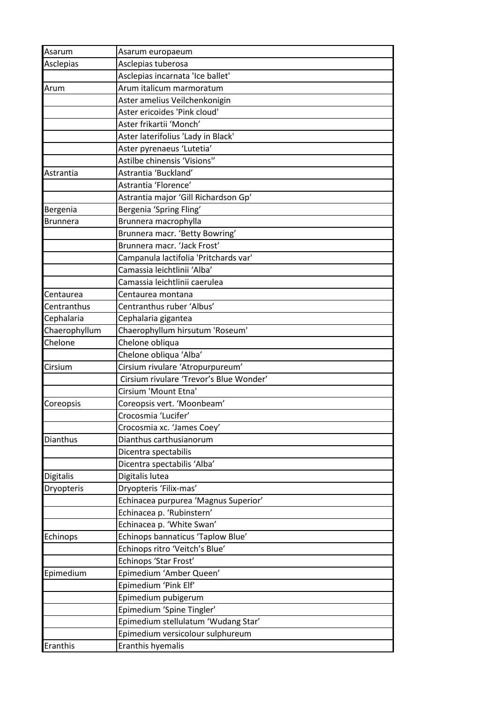| Asarum          | Asarum europaeum                        |
|-----------------|-----------------------------------------|
| Asclepias       | Asclepias tuberosa                      |
|                 | Asclepias incarnata 'Ice ballet'        |
| Arum            | Arum italicum marmoratum                |
|                 | Aster amelius Veilchenkonigin           |
|                 | Aster ericoides 'Pink cloud'            |
|                 | Aster frikartii 'Monch'                 |
|                 | Aster laterifolius 'Lady in Black'      |
|                 | Aster pyrenaeus 'Lutetia'               |
|                 | Astilbe chinensis 'Visions"             |
| Astrantia       | Astrantia 'Buckland'                    |
|                 | Astrantia 'Florence'                    |
|                 | Astrantia major 'Gill Richardson Gp'    |
| Bergenia        | Bergenia 'Spring Fling'                 |
| <b>Brunnera</b> | Brunnera macrophylla                    |
|                 | Brunnera macr. 'Betty Bowring'          |
|                 | Brunnera macr. 'Jack Frost'             |
|                 | Campanula lactifolia 'Pritchards var'   |
|                 | Camassia leichtlinii 'Alba'             |
|                 | Camassia leichtlinii caerulea           |
| Centaurea       | Centaurea montana                       |
| Centranthus     | Centranthus ruber 'Albus'               |
| Cephalaria      | Cephalaria gigantea                     |
| Chaerophyllum   | Chaerophyllum hirsutum 'Roseum'         |
| Chelone         | Chelone obliqua                         |
|                 | Chelone obliqua 'Alba'                  |
| Cirsium         | Cirsium rivulare 'Atropurpureum'        |
|                 | Cirsium rivulare 'Trevor's Blue Wonder' |
|                 | Cirsium 'Mount Etna'                    |
| Coreopsis       | Coreopsis vert. 'Moonbeam'              |
|                 | Crocosmia 'Lucifer'                     |
|                 | Crocosmia xc. 'James Coey'              |
| Dianthus        | Dianthus carthusianorum                 |
|                 | Dicentra spectabilis                    |
|                 | Dicentra spectabilis 'Alba'             |
| Digitalis       | Digitalis lutea                         |
| Dryopteris      | Dryopteris 'Filix-mas'                  |
|                 | Echinacea purpurea 'Magnus Superior'    |
|                 | Echinacea p. 'Rubinstern'               |
|                 | Echinacea p. 'White Swan'               |
| Echinops        | Echinops bannaticus 'Taplow Blue'       |
|                 | Echinops ritro 'Veitch's Blue'          |
|                 | Echinops 'Star Frost'                   |
| Epimedium       | Epimedium 'Amber Queen'                 |
|                 | Epimedium 'Pink Elf'                    |
|                 | Epimedium pubigerum                     |
|                 | Epimedium 'Spine Tingler'               |
|                 | Epimedium stellulatum 'Wudang Star'     |
|                 | Epimedium versicolour sulphureum        |
| Eranthis        | Eranthis hyemalis                       |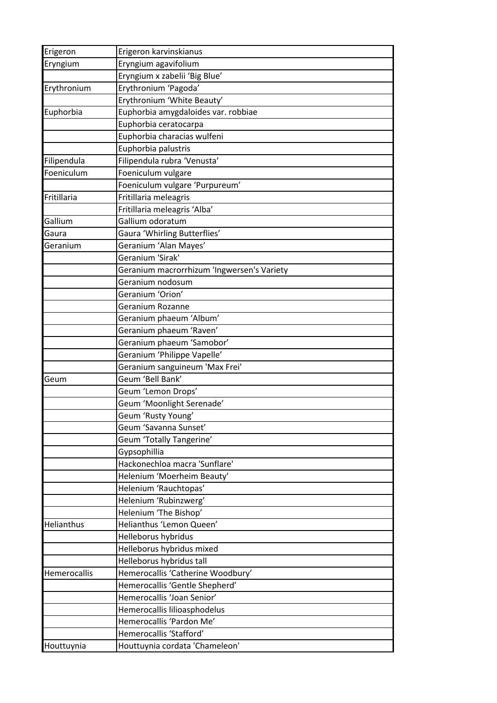| Erigeron     | Erigeron karvinskianus                     |
|--------------|--------------------------------------------|
| Eryngium     | Eryngium agavifolium                       |
|              | Eryngium x zabelii 'Big Blue'              |
| Erythronium  | Erythronium 'Pagoda'                       |
|              | Erythronium 'White Beauty'                 |
| Euphorbia    | Euphorbia amygdaloides var. robbiae        |
|              | Euphorbia ceratocarpa                      |
|              | Euphorbia characias wulfeni                |
|              | Euphorbia palustris                        |
| Filipendula  | Filipendula rubra 'Venusta'                |
| Foeniculum   | Foeniculum vulgare                         |
|              | Foeniculum vulgare 'Purpureum'             |
| Fritillaria  | Fritillaria meleagris                      |
|              | Fritillaria meleagris 'Alba'               |
| Gallium      | Gallium odoratum                           |
| Gaura        | Gaura 'Whirling Butterflies'               |
| Geranium     | Geranium 'Alan Mayes'                      |
|              | Geranium 'Sirak'                           |
|              | Geranium macrorrhizum 'Ingwersen's Variety |
|              | Geranium nodosum                           |
|              | Geranium 'Orion'                           |
|              | Geranium Rozanne                           |
|              | Geranium phaeum 'Album'                    |
|              | Geranium phaeum 'Raven'                    |
|              | Geranium phaeum 'Samobor'                  |
|              | Geranium 'Philippe Vapelle'                |
|              | Geranium sanguineum 'Max Frei'             |
| Geum         | Geum 'Bell Bank'                           |
|              | Geum 'Lemon Drops'                         |
|              | Geum 'Moonlight Serenade'                  |
|              | Geum 'Rusty Young'                         |
|              | Geum 'Savanna Sunset'                      |
|              | Geum 'Totally Tangerine'                   |
|              | Gypsophillia                               |
|              | Hackonechloa macra 'Sunflare'              |
|              | Helenium 'Moerheim Beauty'                 |
|              | Helenium 'Rauchtopas'                      |
|              | Helenium 'Rubinzwerg'                      |
|              | Helenium 'The Bishop'                      |
| Helianthus   | Helianthus 'Lemon Queen'                   |
|              | Helleborus hybridus                        |
|              | Helleborus hybridus mixed                  |
|              | Helleborus hybridus tall                   |
| Hemerocallis | Hemerocallis 'Catherine Woodbury'          |
|              | Hemerocallis 'Gentle Shepherd'             |
|              | Hemerocallis 'Joan Senior'                 |
|              | Hemerocallis lilioasphodelus               |
|              | Hemerocallis 'Pardon Me'                   |
|              | Hemerocallis 'Stafford'                    |
| Houttuynia   | Houttuynia cordata 'Chameleon'             |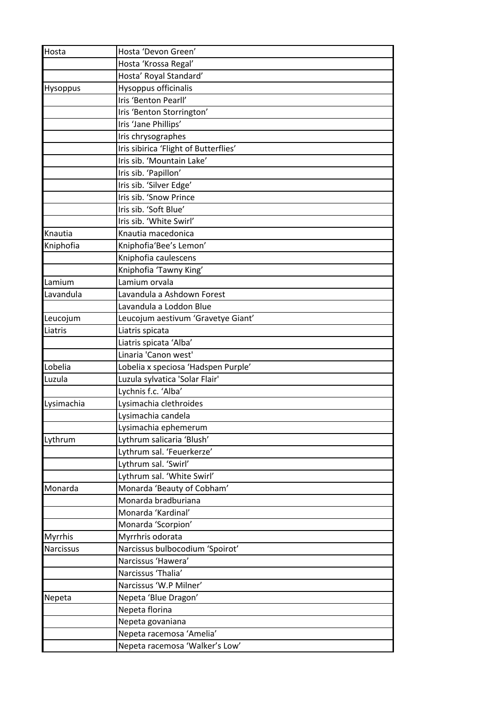| Hosta           | Hosta 'Devon Green'                   |
|-----------------|---------------------------------------|
|                 | Hosta 'Krossa Regal'                  |
|                 | Hosta' Royal Standard'                |
| <b>Hysoppus</b> | Hysoppus officinalis                  |
|                 | Iris 'Benton Pearll'                  |
|                 | Iris 'Benton Storrington'             |
|                 | Iris 'Jane Phillips'                  |
|                 | Iris chrysographes                    |
|                 | Iris sibirica 'Flight of Butterflies' |
|                 | Iris sib. 'Mountain Lake'             |
|                 | Iris sib. 'Papillon'                  |
|                 | Iris sib. 'Silver Edge'               |
|                 | Iris sib. 'Snow Prince                |
|                 | Iris sib. 'Soft Blue'                 |
|                 | Iris sib. 'White Swirl'               |
| Knautia         | Knautia macedonica                    |
| Kniphofia       | Kniphofia'Bee's Lemon'                |
|                 | Kniphofia caulescens                  |
|                 | Kniphofia 'Tawny King'                |
| Lamium          | Lamium orvala                         |
| Lavandula       | Lavandula a Ashdown Forest            |
|                 | Lavandula a Loddon Blue               |
| Leucojum        | Leucojum aestivum 'Gravetye Giant'    |
| Liatris         | Liatris spicata                       |
|                 | Liatris spicata 'Alba'                |
|                 | Linaria 'Canon west'                  |
| Lobelia         | Lobelia x speciosa 'Hadspen Purple'   |
| Luzula          | Luzula sylvatica 'Solar Flair'        |
|                 | Lychnis f.c. 'Alba'                   |
| Lysimachia      | Lysimachia clethroides                |
|                 | Lysimachia candela                    |
|                 | Lysimachia ephemerum                  |
| Lythrum         | Lythrum salicaria 'Blush'             |
|                 | Lythrum sal. 'Feuerkerze'             |
|                 | Lythrum sal. 'Swirl'                  |
|                 | Lythrum sal. 'White Swirl'            |
| Monarda         | Monarda 'Beauty of Cobham'            |
|                 | Monarda bradburiana                   |
|                 | Monarda 'Kardinal'                    |
|                 | Monarda 'Scorpion'                    |
| Myrrhis         | Myrrhris odorata                      |
| Narcissus       | Narcissus bulbocodium 'Spoirot'       |
|                 | Narcissus 'Hawera'                    |
|                 | Narcissus 'Thalia'                    |
|                 | Narcissus 'W.P Milner'                |
| Nepeta          | Nepeta 'Blue Dragon'                  |
|                 | Nepeta florina                        |
|                 | Nepeta govaniana                      |
|                 | Nepeta racemosa 'Amelia'              |
|                 | Nepeta racemosa 'Walker's Low'        |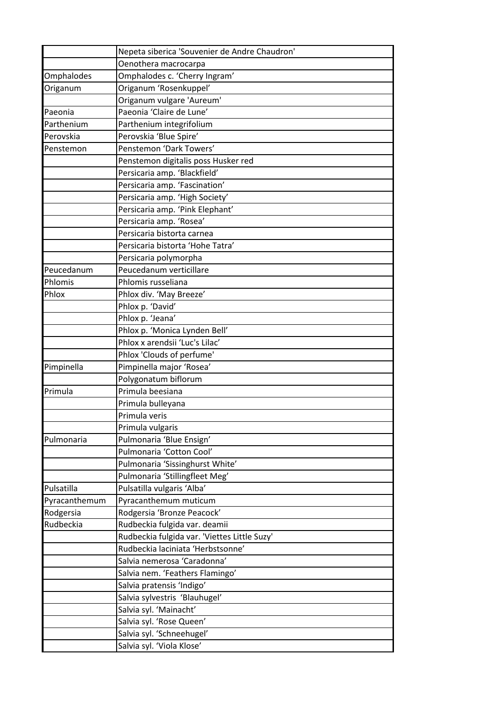|               | Nepeta siberica 'Souvenier de Andre Chaudron' |
|---------------|-----------------------------------------------|
|               | Oenothera macrocarpa                          |
| Omphalodes    | Omphalodes c. 'Cherry Ingram'                 |
| Origanum      | Origanum 'Rosenkuppel'                        |
|               | Origanum vulgare 'Aureum'                     |
| Paeonia       | Paeonia 'Claire de Lune'                      |
| Parthenium    | Parthenium integrifolium                      |
| Perovskia     | Perovskia 'Blue Spire'                        |
| Penstemon     | Penstemon 'Dark Towers'                       |
|               | Penstemon digitalis poss Husker red           |
|               | Persicaria amp. 'Blackfield'                  |
|               | Persicaria amp. 'Fascination'                 |
|               | Persicaria amp. 'High Society'                |
|               | Persicaria amp. 'Pink Elephant'               |
|               | Persicaria amp. 'Rosea'                       |
|               | Persicaria bistorta carnea                    |
|               | Persicaria bistorta 'Hohe Tatra'              |
|               | Persicaria polymorpha                         |
| Peucedanum    | Peucedanum verticillare                       |
| Phlomis       | Phlomis russeliana                            |
| Phlox         | Phlox div. 'May Breeze'                       |
|               | Phlox p. 'David'                              |
|               | Phlox p. 'Jeana'                              |
|               | Phlox p. 'Monica Lynden Bell'                 |
|               | Phlox x arendsii 'Luc's Lilac'                |
|               | Phlox 'Clouds of perfume'                     |
| Pimpinella    | Pimpinella major 'Rosea'                      |
|               | Polygonatum biflorum                          |
| Primula       | Primula beesiana                              |
|               | Primula bulleyana                             |
|               | Primula veris                                 |
|               | Primula vulgaris                              |
| Pulmonaria    | Pulmonaria 'Blue Ensign'                      |
|               | Pulmonaria 'Cotton Cool'                      |
|               | Pulmonaria 'Sissinghurst White'               |
|               | Pulmonaria 'Stillingfleet Meg'                |
| Pulsatilla    | Pulsatilla vulgaris 'Alba'                    |
| Pyracanthemum | Pyracanthemum muticum                         |
| Rodgersia     | Rodgersia 'Bronze Peacock'                    |
| Rudbeckia     | Rudbeckia fulgida var. deamii                 |
|               | Rudbeckia fulgida var. 'Viettes Little Suzy'  |
|               | Rudbeckia laciniata 'Herbstsonne'             |
|               | Salvia nemerosa 'Caradonna'                   |
|               | Salvia nem. 'Feathers Flamingo'               |
|               | Salvia pratensis 'Indigo'                     |
|               | Salvia sylvestris 'Blauhugel'                 |
|               | Salvia syl. 'Mainacht'                        |
|               | Salvia syl. 'Rose Queen'                      |
|               | Salvia syl. 'Schneehugel'                     |
|               | Salvia syl. 'Viola Klose'                     |